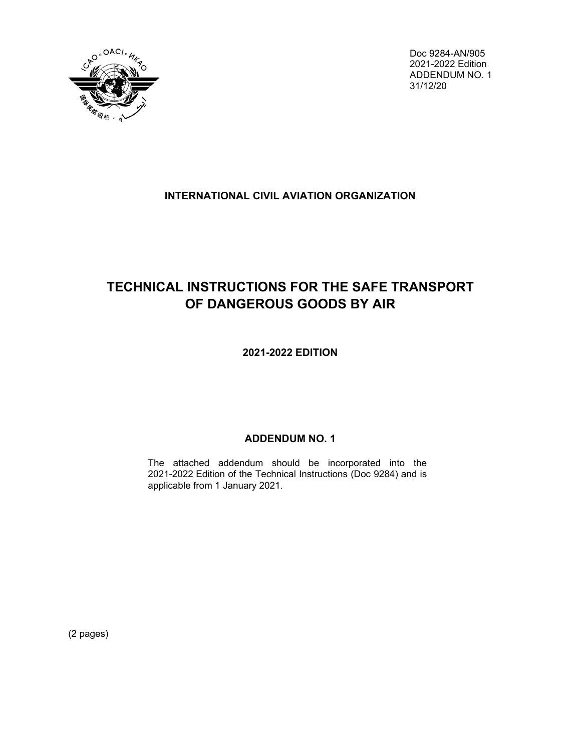

Doc 9284-AN/905 2021-2022 Edition ADDENDUM NO. 1 31/12/20

### **INTERNATIONAL CIVIL AVIATION ORGANIZATION**

# **TECHNICAL INSTRUCTIONS FOR THE SAFE TRANSPORT OF DANGEROUS GOODS BY AIR**

**2021-2022 EDITION**

## **ADDENDUM NO. 1**

The attached addendum should be incorporated into the 2021-2022 Edition of the Technical Instructions (Doc 9284) and is applicable from 1 January 2021.

(2 pages)